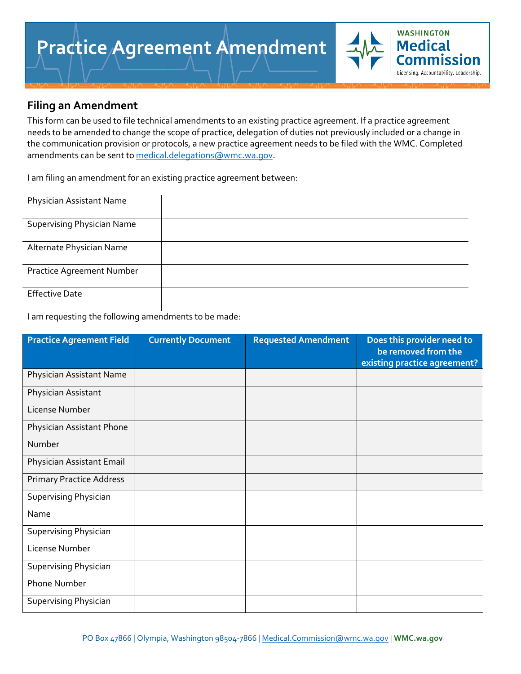

This form can be used to file technical amendments to an existing practice agreement. If a practice agreement needs to be amended to change the scope of practice, delegation of duties not previously included or a change in the communication provision or protocols, a new practice agreement needs to be filed with the WMC. Completed amendments can be sent to [medical.delegations@wmc.wa.gov.](mailto:medical.delegations@wmc.wa.gov)

**WASHINGTON Medical** Comm

Licensing. Accountability. Leadership.

I am filing an amendment for an existing practice agreement between:

| Physician Assistant Name          |  |
|-----------------------------------|--|
| <b>Supervising Physician Name</b> |  |
| Alternate Physician Name          |  |
| Practice Agreement Number         |  |
| <b>Effective Date</b>             |  |

I am requesting the following amendments to be made:

| <b>Practice Agreement Field</b> | <b>Currently Document</b> | <b>Requested Amendment</b> | Does this provider need to<br>be removed from the<br>existing practice agreement? |
|---------------------------------|---------------------------|----------------------------|-----------------------------------------------------------------------------------|
| Physician Assistant Name        |                           |                            |                                                                                   |
| Physician Assistant             |                           |                            |                                                                                   |
| License Number                  |                           |                            |                                                                                   |
| Physician Assistant Phone       |                           |                            |                                                                                   |
| Number                          |                           |                            |                                                                                   |
| Physician Assistant Email       |                           |                            |                                                                                   |
| <b>Primary Practice Address</b> |                           |                            |                                                                                   |
| <b>Supervising Physician</b>    |                           |                            |                                                                                   |
| Name                            |                           |                            |                                                                                   |
| <b>Supervising Physician</b>    |                           |                            |                                                                                   |
| License Number                  |                           |                            |                                                                                   |
| <b>Supervising Physician</b>    |                           |                            |                                                                                   |
| <b>Phone Number</b>             |                           |                            |                                                                                   |
| Supervising Physician           |                           |                            |                                                                                   |